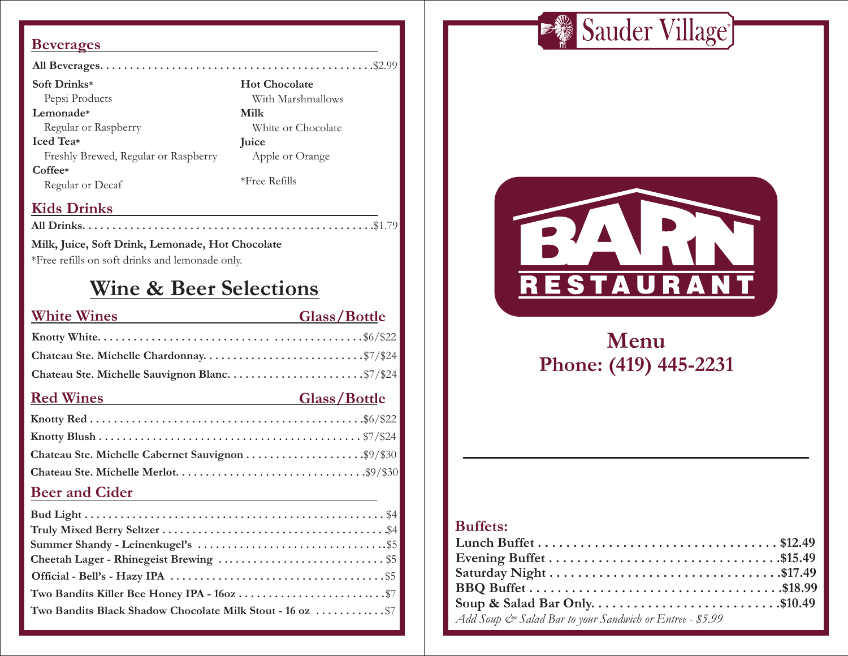#### **Beverages**

| Soft Drinks*                         | <b>Hot Chocolate</b> |
|--------------------------------------|----------------------|
| Pepsi Products                       | With Marshmallows    |
| Lemonade*                            | Milk                 |
| Regular or Raspberry                 | White or Chocolate   |
| <b>Iced</b> Tea*                     | Juice                |
| Freshly Brewed, Regular or Raspberry | Apple or Orange      |
| Coffee*<br>Regular or Decaf          | $*$ Free Refills     |

## **Kids Drinks**

**All Drinks. . . . . . . . . . . . . . . . . . . . . . . . . . . . . . . . . . . . . . . . . . . . . . . . .**\$1.79

#### **Milk, Juice, Soft Drink, Lemonade, Hot Chocolate**

\*Free refills on soft drinks and lemonade only.

## **Wine & Beer Selections**

| <b>White Wines</b>    | Glass/Bottle |
|-----------------------|--------------|
|                       |              |
|                       |              |
|                       |              |
| <b>Red Wines</b>      | Glass/Bottle |
|                       |              |
|                       |              |
|                       |              |
|                       |              |
| <b>Beer and Cider</b> |              |

## **Bud Light . . . . . . . . . . . . . . . . . . . . . . . . . . . . . . . . . . . . . . . . . . . . . . . . . .** \$4 **Truly Mixed Berry Seltzer . . . . . . . . . . . . . . . . . . . . . . . . . . . . . . . . . . . . . .**\$4 **Summer Shandy - Leinenkugel's . . . . . . . . . . . . . . . . . . . . . . . . . . . . . . . .**\$5 **Cheetah Lager - Rhinegeist Brewing . . . . . . . . . . . . . . . . . . . . . . . . . . . .** \$5 **Official - Bell's - Hazy IPA . . . . . . . . . . . . . . . . . . . . . . . . . . . . . . . . . . . .** \$5 **Two Bandits Killer Bee Honey IPA - 16oz . . . . . . . . . . . . . . . . . . . . . . . . .**\$7 **Two Bandits Black Shadow Chocolate Milk Stout - 16 oz . . . . . . . . . . . .** \$7





# **Menu Phone: (419) 445-2231**

## **Buffets:**

| Soup & Salad Bar Only\$10.49                             |  |
|----------------------------------------------------------|--|
| Add Soup & Salad Bar to your Sandwich or Entree - \$5.99 |  |